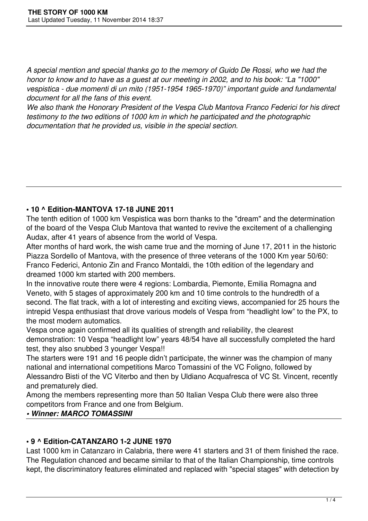*A special mention and special thanks go to the memory of Guido De Rossi, who we had the honor to know and to have as a guest at our meeting in 2002, and to his book: "La "1000" vespistica - due momenti di un mito (1951-1954 1965-1970)" important guide and fundamental document for all the fans of this event.*

*We also thank the Honorary President of the Vespa Club Mantova Franco Federici for his direct testimony to the two editions of 1000 km in which he participated and the photographic documentation that he provided us, visible in the special section.*

## **• 10 ^ Edition-MANTOVA 17-18 JUNE 2011**

The tenth edition of 1000 km Vespistica was born thanks to the "dream" and the determination of the board of the Vespa Club Mantova that wanted to revive the excitement of a challenging Audax, after 41 years of absence from the world of Vespa.

After months of hard work, the wish came true and the morning of June 17, 2011 in the historic Piazza Sordello of Mantova, with the presence of three veterans of the 1000 Km year 50/60: Franco Federici, Antonio Zin and Franco Montaldi, the 10th edition of the legendary and dreamed 1000 km started with 200 members.

In the innovative route there were 4 regions: Lombardia, Piemonte, Emilia Romagna and Veneto, with 5 stages of approximately 200 km and 10 time controls to the hundredth of a second. The flat track, with a lot of interesting and exciting views, accompanied for 25 hours the intrepid Vespa enthusiast that drove various models of Vespa from "headlight low" to the PX, to the most modern automatics.

Vespa once again confirmed all its qualities of strength and reliability, the clearest demonstration: 10 Vespa "headlight low" years 48/54 have all successfully completed the hard test, they also snubbed 3 younger Vespa!!

The starters were 191 and 16 people didn't participate, the winner was the champion of many national and international competitions Marco Tomassini of the VC Foligno, followed by Alessandro Bisti of the VC Viterbo and then by Uldiano Acquafresca of VC St. Vincent, recently and prematurely died.

Among the members representing more than 50 Italian Vespa Club there were also three competitors from France and one from Belgium.

## *• Winner: MARCO TOMASSINI*

# **• 9 ^ Edition-CATANZARO 1-2 JUNE 1970**

Last 1000 km in Catanzaro in Calabria, there were 41 starters and 31 of them finished the race. The Regulation chanced and became similar to that of the Italian Championship, time controls kept, the discriminatory features eliminated and replaced with "special stages" with detection by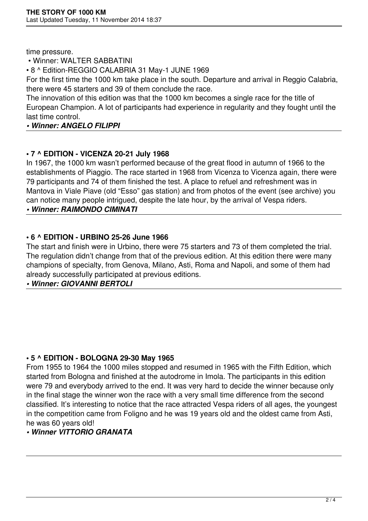time pressure.

## • Winner: WALTER SABBATINI

• 8 ^ Edition-REGGIO CALABRIA 31 May-1 JUNE 1969

For the first time the 1000 km take place in the south. Departure and arrival in Reggio Calabria, there were 45 starters and 39 of them conclude the race.

The innovation of this edition was that the 1000 km becomes a single race for the title of European Champion. A lot of participants had experience in regularity and they fought until the last time control.

## *• Winner: ANGELO FILIPPI*

# **• 7 ^ EDITION - VICENZA 20-21 July 1968**

In 1967, the 1000 km wasn't performed because of the great flood in autumn of 1966 to the establishments of Piaggio. The race started in 1968 from Vicenza to Vicenza again, there were 79 participants and 74 of them finished the test. A place to refuel and refreshment was in Mantova in Viale Piave (old "Esso" gas station) and from photos of the event (see archive) you can notice many people intrigued, despite the late hour, by the arrival of Vespa riders.

*• Winner: RAIMONDO CIMINATI*

# **• 6 ^ EDITION - URBINO 25-26 June 1966**

The start and finish were in Urbino, there were 75 starters and 73 of them completed the trial. The regulation didn't change from that of the previous edition. At this edition there were many champions of specialty, from Genova, Milano, Asti, Roma and Napoli, and some of them had already successfully participated at previous editions.

*• Winner: GIOVANNI BERTOLI*

## **• 5 ^ EDITION - BOLOGNA 29-30 May 1965**

From 1955 to 1964 the 1000 miles stopped and resumed in 1965 with the Fifth Edition, which started from Bologna and finished at the autodrome in Imola. The participants in this edition were 79 and everybody arrived to the end. It was very hard to decide the winner because only in the final stage the winner won the race with a very small time difference from the second classified. It's interesting to notice that the race attracted Vespa riders of all ages, the youngest in the competition came from Foligno and he was 19 years old and the oldest came from Asti, he was 60 years old!

# *• Winner VITTORIO GRANATA*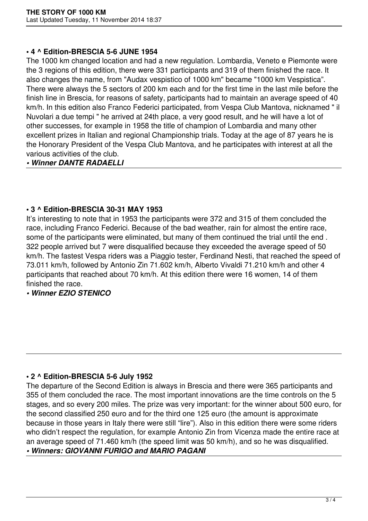#### **• 4 ^ Edition-BRESCIA 5-6 JUNE 1954**

The 1000 km changed location and had a new regulation. Lombardia, Veneto e Piemonte were the 3 regions of this edition, there were 331 participants and 319 of them finished the race. It also changes the name, from "Audax vespistico of 1000 km" became "1000 km Vespistica". There were always the 5 sectors of 200 km each and for the first time in the last mile before the finish line in Brescia, for reasons of safety, participants had to maintain an average speed of 40 km/h. In this edition also Franco Federici participated, from Vespa Club Mantova, nicknamed " il Nuvolari a due tempi " he arrived at 24th place, a very good result, and he will have a lot of other successes, for example in 1958 the title of champion of Lombardia and many other excellent prizes in Italian and regional Championship trials. Today at the age of 87 years he is the Honorary President of the Vespa Club Mantova, and he participates with interest at all the various activities of the club.

#### *• Winner DANTE RADAELLI*

#### **• 3 ^ Edition-BRESCIA 30-31 MAY 1953**

It's interesting to note that in 1953 the participants were 372 and 315 of them concluded the race, including Franco Federici. Because of the bad weather, rain for almost the entire race, some of the participants were eliminated, but many of them continued the trial until the end . 322 people arrived but 7 were disqualified because they exceeded the average speed of 50 km/h. The fastest Vespa riders was a Piaggio tester, Ferdinand Nesti, that reached the speed of 73.011 km/h, followed by Antonio Zin 71.602 km/h, Alberto Vivaldi 71.210 km/h and other 4 participants that reached about 70 km/h. At this edition there were 16 women, 14 of them finished the race.

## *• Winner EZIO STENICO*

## **• 2 ^ Edition-BRESCIA 5-6 July 1952**

The departure of the Second Edition is always in Brescia and there were 365 participants and 355 of them concluded the race. The most important innovations are the time controls on the 5 stages, and so every 200 miles. The prize was very important: for the winner about 500 euro, for the second classified 250 euro and for the third one 125 euro (the amount is approximate because in those years in Italy there were still "lire"). Also in this edition there were some riders who didn't respect the regulation, for example Antonio Zin from Vicenza made the entire race at an average speed of 71.460 km/h (the speed limit was 50 km/h), and so he was disqualified.

## *• Winners: GIOVANNI FURIGO and MARIO PAGANI*